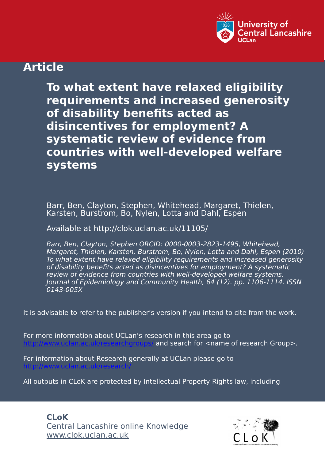

# **Article**

**To what extent have relaxed eligibility requirements and increased generosity of disability benefits acted as disincentives for employment? A systematic review of evidence from countries with well-developed welfare systems**

Barr, Ben, Clayton, Stephen, Whitehead, Margaret, Thielen, Karsten, Burstrom, Bo, Nylen, Lotta and Dahl, Espen

Available at http://clok.uclan.ac.uk/11105/

Barr, Ben, Clayton, Stephen ORCID: 0000-0003-2823-1495, Whitehead, Margaret, Thielen, Karsten, Burstrom, Bo, Nylen, Lotta and Dahl, Espen (2010) To what extent have relaxed eligibility requirements and increased generosity of disability benefits acted as disincentives for employment? A systematic review of evidence from countries with well-developed welfare systems. Journal of Epidemiology and Community Health, 64 (12). pp. 1106-1114. ISSN 0143-005X

It is advisable to refer to the publisher's version if you intend to cite from the work.

For more information about UCLan's research in this area go to and search for <name of research Group>.

For information about Research generally at UCLan please go to <http://www.uclan.ac.uk/research/>

All outputs in CLoK are protected by Intellectual Property Rights law, including

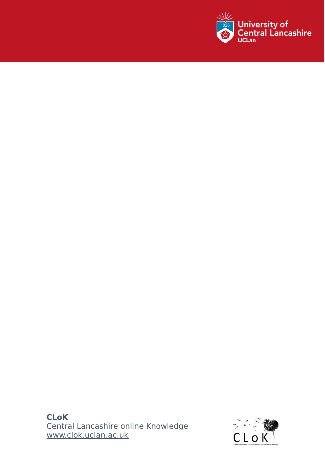

 $C$  copyright, IPR and Moral Rights for the works on this site are retained by the works on this site are retained by

## **CLoK** Central Lancashire online Knowledge www.clok.uclan.ac.uk

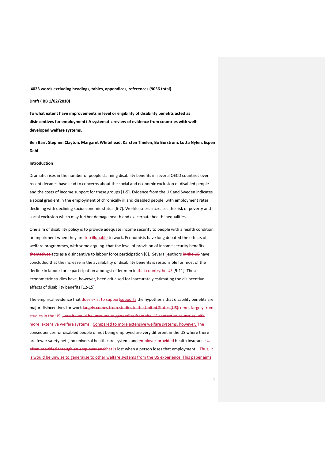**4023 words excluding headings, tables, appendices, references (9056 total)**

### **Draft ( BB 1/02/2010)**

**To what extent have improvements in level or eligibility of disability benefits acted as disincentives for employment? A systematic review of evidence from countries with welldeveloped welfare systems.** 

**Ben Barr, Stephen Clayton, Margaret Whitehead, Karsten Thielen, Bo Burström, Lotta Nylen, Espen Dahl**

#### **Introduction**

Dramatic rises in the number of people claiming disability benefits in several OECD countries over recent decades have lead to concerns about the social and economic exclusion of disabled people and the costs of income support for these groups [1-5]. Evidence from the UK and Sweden indicates a social gradient in the employment of chronically ill and disabled people, with employment rates declining with declining socioeconomic status [6-7]. Worklessness increases the risk of poverty and social exclusion which may further damage health and exacerbate health inequalities.

One aim of disability policy is to provide adequate income security to people with a health condition or impairment when they are too illunable to work. Economists have long debated the effects of welfare programmes, with some arguing that the level of provision of income security benefits themselves acts as a disincentive to labour force participation [8]. Several\_authors in the US have concluded that the increase in the availability of disability benefits is responsible for most of the decline in labour force participation amongst older men in that countrythe US [9-11]. These econometric studies have, however, been criticised for inaccurately estimating the disincentive effects of disability benefits [12-15].

The empirical evidence that does exist to supportsupports the hypothesis that disability benefits are major disincentives for work largely comes from studies in the United States (US)comes largely from studies in the US. , but it would be unsound to generalise from the US context to countries with more extensive welfare systems. Compared to more extensive welfare systems, however, The consequences for disabled people of not being employed are very different in the US where there are fewer safety nets, no universal health care system, and employer-provided health insurance is often provided through an employer and that is lost when a person loses that employment. Thus, it is would be unwise to generalise to other welfare systems from the US experience. This paper aims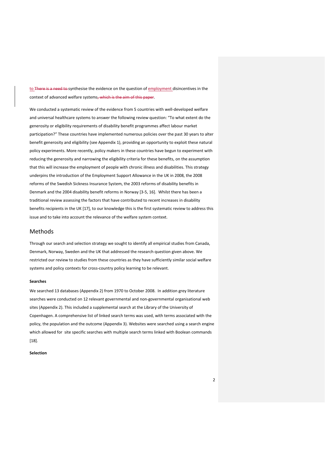to There is a need to synthesise the evidence on the question of employment disincentives in the context of advanced welfare systems, which is the aim of this paper.

We conducted a systematic review of the evidence from 5 countries with well-developed welfare and universal healthcare systems to answer the following review question: "To what extent do the generosity or eligibility requirements of disability benefit programmes affect labour market participation?" These countries have implemented numerous policies over the past 30 years to alter benefit generosity and eligibility (see Appendix 1), providing an opportunity to exploit these natural policy experiments. More recently, policy makers in these countries have begun to experiment with reducing the generosity and narrowing the eligibility criteria for these benefits, on the assumption that this will increase the employment of people with chronic illness and disabilities. This strategy underpins the introduction of the Employment Support Allowance in the UK in 2008, the 2008 reforms of the Swedish Sickness Insurance System, the 2003 reforms of disability benefits in Denmark and the 2004 disability benefit reforms in Norway [3-5, 16]. Whilst there has been a traditional review assessing the factors that have contributed to recent increases in disability benefits recipients in the UK [17], to our knowledge this is the first systematic review to address this issue and to take into account the relevance of the welfare system context.

## Methods

Through our search and selection strategy we sought to identify all empirical studies from Canada, Denmark, Norway, Sweden and the UK that addressed the research question given above. We restricted our review to studies from these countries as they have sufficiently similar social welfare systems and policy contexts for cross-country policy learning to be relevant.

#### **Searches**

We searched 13 databases (Appendix 2) from 1970 to October 2008. In addition grey literature searches were conducted on 12 relevant governmental and non-governmental organisational web sites (Appendix 2). This included a supplemental search at the Library of the University of Copenhagen. A comprehensive list of linked search terms was used, with terms associated with the policy, the population and the outcome (Appendix 3). Websites were searched using a search engine which allowed for site specific searches with multiple search terms linked with Boolean commands [18].

#### **Selection**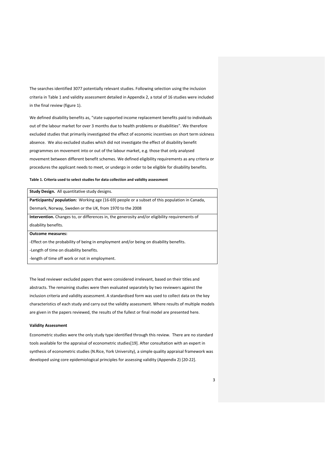The searches identified 3077 potentially relevant studies. Following selection using the inclusion criteria in Table 1 and validity assessment detailed in Appendix 2, a total of 16 studies were included in the final review (figure 1).

We defined disability benefits as, "state supported income replacement benefits paid to individuals out of the labour market for over 3 months due to health problems or disabilities". We therefore excluded studies that primarily investigated the effect of economic incentives on short term sickness absence. We also excluded studies which did not investigate the effect of disability benefit programmes on movement into or out of the labour market, e.g. those that only analysed movement between different benefit schemes. We defined eligibility requirements as any criteria or procedures the applicant needs to meet, or undergo in order to be eligible for disability benefits.

#### **Table 1. Criteria used to select studies for data collection and validity assessment**

| Study Design. All quantitative study designs.                                                         |
|-------------------------------------------------------------------------------------------------------|
| <b>Participants/ population:</b> Working age (16-69) people or a subset of this population in Canada, |
| Denmark, Norway, Sweden or the UK, from 1970 to the 2008                                              |
| <b>Intervention.</b> Changes to, or differences in, the generosity and/or eligibility requirements of |
| disability benefits.                                                                                  |
| <b>Outcome measures:</b>                                                                              |
| -Effect on the probability of being in employment and/or being on disability benefits.                |
| -Length of time on disability benefits.                                                               |
|                                                                                                       |

-length of time off work or not in employment.

The lead reviewer excluded papers that were considered irrelevant, based on their titles and abstracts. The remaining studies were then evaluated separately by two reviewers against the inclusion criteria and validity assessment. A standardised form was used to collect data on the key characteristics of each study and carry out the validity assessment. Where results of multiple models are given in the papers reviewed, the results of the fullest or final model are presented here.

### **Validity Assessment**

Econometric studies were the only study type identified through this review. There are no standard tools available for the appraisal of econometric studies[19]. After consultation with an expert in synthesis of econometric studies (N.Rice, York University), a simple quality appraisal framework was developed using core epidemiological principles for assessing validity (Appendix 2) [20-22].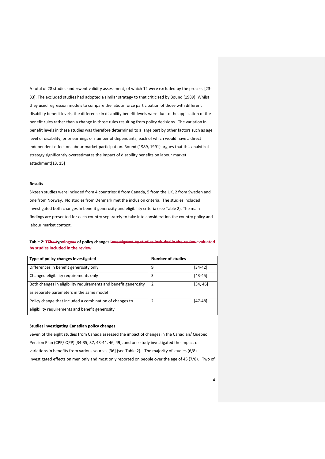A total of 28 studies underwent validity assessment, of which 12 were excluded by the process [23- 33]. The excluded studies had adopted a similar strategy to that criticised by Bound (1989). Whilst they used regression models to compare the labour force participation of those with different disability benefit levels, the difference in disability benefit levels were due to the application of the benefit rules rather than a change in those rules resulting from policy decisions. The variation in benefit levels in these studies was therefore determined to a large part by other factors such as age, level of disability, prior earnings or number of dependants, each of which would have a direct independent effect on labour market participation. Bound (1989, 1991) argues that this analytical strategy significantly overestimates the impact of disability benefits on labour market attachment[13, 15]

## **Results**

Sixteen studies were included from 4 countries: 8 from Canada, 5 from the UK, 2 from Sweden and one from Norway. No studies from Denmark met the inclusion criteria. The studies included investigated both changes in benefit generosity and eligibility criteria (see Table 2). The main findings are presented for each country separately to take into consideration the country policy and labour market context.

## **Table 2: TThe typologyes of policy changes investigated by studies included in the reviewevaluated by studies included in the review**

| Type of policy changes investigated                             | <b>Number of studies</b> |             |
|-----------------------------------------------------------------|--------------------------|-------------|
| Differences in benefit generosity only                          | 9                        | $[34-42]$   |
| Changed eligibility requirements only                           | 3                        | $[43 - 45]$ |
| Both changes in eligibility requirements and benefit generosity | 2                        | [34, 46]    |
| as separate parameters in the same model                        |                          |             |
| Policy change that included a combination of changes to         | 2                        | $[47-48]$   |
| eligibility requirements and benefit generosity                 |                          |             |

## **Studies investigating Canadian policy changes**

Seven of the eight studies from Canada assessed the impact of changes in the Canadian/ Quebec Pension Plan (CPP/ QPP) [34-35, 37, 43-44, 46, 49], and one study investigated the impact of variations in benefits from various sources [36] (see Table 2). The majority of studies (6/8) investigated effects on men only and most only reported on people over the age of 45 (7/8). Two of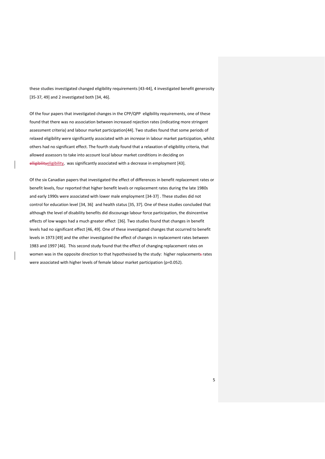these studies investigated changed eligibility requirements [43-44], 4 investigated benefit generosity [35-37, 49] and 2 investigated both [34, 46].

Of the four papers that investigated changes in the CPP/QPP eligibility requirements, one of these found that there was no association between increased rejection rates (indicating more stringent assessment criteria) and labour market participation[44]. Two studies found that some periods of relaxed eligibility were significantly associated with an *increase* in labour market participation, whilst others had no significant effect. The fourth study found that a relaxation of eligibility criteria, that allowed assessors to take into account local labour market conditions in deciding on elligibilityeligibility, was significantly associated with a decrease in employment [43].

Of the six Canadian papers that investigated the effect of differences in benefit replacement rates or benefit levels, four reported that higher benefit levels or replacement rates during the late 1980s and early 1990s were associated with lower male employment [34-37] . These studies did not control for education level [34, 36] and health status [35, 37]. One of these studies concluded that although the level of disability benefits did discourage labour force participation, the disincentive effects of low wages had a much greater effect [36]. Two studies found that changes in benefit levels had no significant effect [46, 49]. One of these investigated changes that occurred to benefit levels in 1973 [49] and the other investigated the effect of changes in replacement rates between 1983 and 1997 [46]. This second study found that the effect of changing replacement rates on women was in the opposite direction to that hypothesised by the study: higher replacements rates were associated with higher levels of female labour market participation (p=0.052).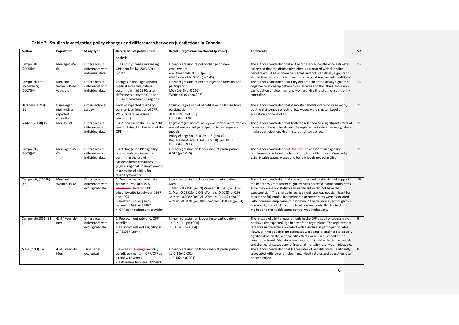| Author                                      | Population                                            | Study type                                            | Description of policy under                                                                                                                                                                                                  | Result - regression coefficient (p-value)                                                                                                                                                                                                                           | <b>Comments</b>                                                                                                                                                                                                                                                                                                                                                                                                                                                                                                                                                           | VA |
|---------------------------------------------|-------------------------------------------------------|-------------------------------------------------------|------------------------------------------------------------------------------------------------------------------------------------------------------------------------------------------------------------------------------|---------------------------------------------------------------------------------------------------------------------------------------------------------------------------------------------------------------------------------------------------------------------|---------------------------------------------------------------------------------------------------------------------------------------------------------------------------------------------------------------------------------------------------------------------------------------------------------------------------------------------------------------------------------------------------------------------------------------------------------------------------------------------------------------------------------------------------------------------------|----|
|                                             |                                                       |                                                       | analysis                                                                                                                                                                                                                     |                                                                                                                                                                                                                                                                     |                                                                                                                                                                                                                                                                                                                                                                                                                                                                                                                                                                           |    |
| Campolieti<br>(2004)[49]                    | Men aged 45-<br>64                                    | Differences in<br>differences with<br>individual data | 1973 policy change increasing<br>QPP benefits by \$50(CAD) a<br>month.                                                                                                                                                       | Linear regression of policy change on non-<br>employment.<br>45-64year olds: 0.008 (p=0.3)<br>45-59 year olds: 0.001 (p=0.48)                                                                                                                                       | The authors concluded that all the difference-in-difference estimates<br>suggested that the disincentive effects associated with disability<br>benefits would be economically small and not statistically significant<br>at that time. No control for health status or labour market conditions.                                                                                                                                                                                                                                                                          | 13 |
| Campolieti and<br>Goldenberg,<br>(2007)[44] | Men and<br><b>Women 45-64</b><br>vears old            | Differences in<br>differences with<br>individual data | Changes in the eligibility and<br>medical screening criteria<br>occurring in mid 1990s and<br>differences between QPP and<br>CPP and between CPP regions.                                                                    | Linear regression of benefit rejection rates on non-<br>participation<br>Men 0.646 (p=0.166)<br>Women 0.02 (p=0.297)                                                                                                                                                | The authors concluded that they did not find a statistically significant<br>negative relationship between denial rates and the labour force non-<br>participation of older men and women. Health status not sufficiently<br>controlled.                                                                                                                                                                                                                                                                                                                                   | 13 |
| Harkness (1993)<br>$[36]$                   | Prime aged<br>men with self<br>reported<br>disability | Cross-sectional<br>survey                             | Level of expected disability<br>pension (combination of CPP,<br>WCB, private insurance<br>payments)                                                                                                                          | Logistic Regression of benefit level on labour force<br>participation<br>$-0.00019$ (p=0.006)<br>Elasticity=- 2.03                                                                                                                                                  | The authors concluded that disability benefits did discourage work,<br>but the disincentive effects of low wages were greater. Level of<br>education not controlled.                                                                                                                                                                                                                                                                                                                                                                                                      | 11 |
| Gruber (2000)[35]                           | Men 45-59                                             | Differences in<br>differences with<br>individual data | 1987 increase in the CPP benefit<br>level to bring it to the level of the<br><b>OPP</b>                                                                                                                                      | Logistic regression of policy and replacement rate on<br>non-labour market participation in two separate<br>models<br>Policy change= 0.15 (OR=1.16)(p=0.02)<br>Replacement rate: 1.344 (OR=3.8) (p=0.009)<br>Elasticity = $0.28$                                    | The authors concluded that both models showed a significant effect of<br>increases in benefit levels and the replacement rate in reducing labour<br>market participation. Health status not controlled.                                                                                                                                                                                                                                                                                                                                                                   | 11 |
| Campolieti,<br>(2003)[43]                   | Men aged 45-<br>65                                    | Differences in<br>differences with<br>individual data | 1989 change in CPP eligibility<br>requirmentsrequirements<br>permitting the use of<br>socioeconomic conditions<br>(e.ge.g. regional unemployment)<br>in assessing eligibility for<br>disability benefits                     | Linear regression on labour market participation<br>$0.015$ (p=0.016)                                                                                                                                                                                               | The authors concluded that the that the relaxation in eligibility<br>requirements reduced the labour supply of older men in Canada by<br>1.5%. Health status, wages and benefit levels not controlled.                                                                                                                                                                                                                                                                                                                                                                    | 11 |
| Campolieti, (2001b)<br>$[46]$               | Men and<br><b>Women 45-65</b>                         | Differences in<br>differences with<br>ecological data | 1. Average replacement rate<br>between 1983 and 1997<br>2.Relaxed2. Relaxed CPP<br>eligibility criteria between 1987<br>and 1994<br>3. Relaxed QPP eligibility<br>between 1993 and 1997<br>4. QPP early retirement provision | Linear regression on labour force participation<br>Men<br>1:Men: - 0.2450 (p=0.9), Women: 0.1341 (p=0.052)<br>2: Men: 0.0251(p=0.04), Women: -0.0088 (p=0.9)<br>3: Men: -0.0082 (p=0.2), Women: 0.0142 (p=0.02)<br>4: Men: -0.0478 (p<0.001), Women: 0.0008 (p=0.4) | The authors concluded that some of these estimates did not support<br>the hypothesis that looser eligibility rules decrease participation rates<br>since they were not statistically significant or did not have the<br>expected sign. The change in replacement rate was not significant for<br>men in the full model. Increasing replacement rates were associated<br>with increased employment in women in the full model, although this<br>was not significant. Education level was not controlled for in the<br>models and the health status control was inadequate. | 10 |
| Campolieti(2001)[34                         | 45-64 year old<br>men                                 | Differences in<br>differences with<br>ecological data | 1. Replacement rate of C/QPP<br>benefits<br>2. Period of relaxed eligibility in<br>CPP (1987-1994).                                                                                                                          | Linear regression on labour force participation<br>1: $-0.2171$ ( $p=0.004$ )<br>$2: 0.0149$ (p=0.004)                                                                                                                                                              | The relaxed eligibility requirements in the CPP disability program did<br>not have the expected sign in any of the regressions. The replacement<br>rate was significantly associated with a decline in participation rates.<br>However, these coefficient estimates were smaller and not statistically<br>significant when the year specific effects were used instead of the<br>linear time trend. Education level was not controlled for in the models<br>and the health status control (regional mortality rate) was inadequate.                                       | 9  |
| Maki (1993) [37]                            | 45-65 year old<br>Men                                 | Time series<br>ecological                             | 4. Average 1. Average monthly<br>benefit payments in QPP/CPP as<br>a ratio with wages<br>2. Difference between QPP and                                                                                                       | Linear regression on labour market participation<br>$1: -0.2$ (p<0.001)<br>2:0.102 (p<0.001)                                                                                                                                                                        | The authors concluded that higher rates of benefits were significantly<br>associated with lower employment. Health status and education level<br>not controlled.                                                                                                                                                                                                                                                                                                                                                                                                          | 8  |

## **Table 3. Studies investigating policy changes and differences between jurisdictions in Canada**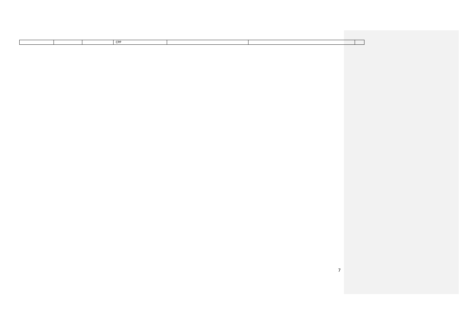7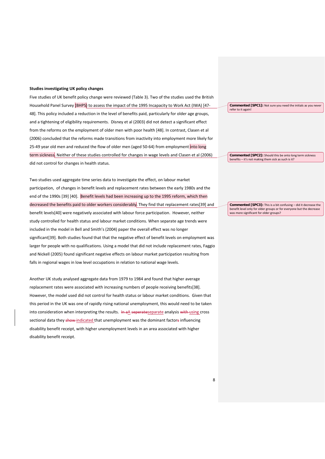#### **Studies investigating UK policy changes**

Five studies of UK benefit policy change were reviewed (Table 3). Two of the studies used the British Household Panel Survey (BHPS) to assess the impact of the 1995 Incapacity to Work Act (IWA) [47-48]. This policy included a reduction in the level of benefits paid, particularly for older age groups, and a tightening of eligibility requirements. Disney et al (2003) did not detect a significant effect from the reforms on the employment of older men with poor health [48]. In contrast, Clasen et al (2006) concluded that the reforms made transitions from inactivity into employment more likely for 25-49 year old men and reduced the flow of older men (aged 50-64) from employment into long term sickness. Neither of these studies controlled for changes in wage levels and Clasen et al (2006) did not control for changes in health status.

Two studies used aggregate time series data to investigate the effect, on labour market participation, of changes in benefit levels and replacement rates between the early 1980s and the end of the 1990s [39] [40]. Benefit levels had been increasing up to the 1995 reform, which then decreased the benefits paid to older workers considerably. They find that replacement rates[39] and benefit levels[40] were negatively associated with labour force participation. However, neither study controlled for health status and labour market conditions. When separate age trends were included in the model in Bell and Smith's (2004) paper the overall effect was no longer significant[39]. Both studies found that that the negative effect of benefit levels on employment was larger for people with no qualifications. Using a model that did not include replacement rates, Faggio and Nickell (2005) found significant negative effects on labour market participation resulting from falls in regional wages in low level occupations in relation to national wage levels.

Another UK study analysed aggregate data from 1979 to 1984 and found that higher average replacement rates were associated with increasing numbers of people receiving benefits[38]. However, the model used did not control for health status or labour market conditions. Given that this period in the UK was one of rapidly rising national unemployment, this would need to be taken into consideration when interpreting the results. In aA seperateseparate analysis with using cross sectional data they show indicated that unemployment was the dominant factors influencing disability benefit receipt, with higher unemployment levels in an area associated with higher disability benefit receipt.

**Commented [SPC1]:** Not sure you need the initials as you never refer to it again!

**Commented [SPC2]:** Should this be onto long term sickness

**benefits – it's not making them sick as such is it** 

**Commented [SPC3]:** This is a bit confusing – did it decrease the benefit level only for older groups or for everyone but the decrease was more significant for older groups?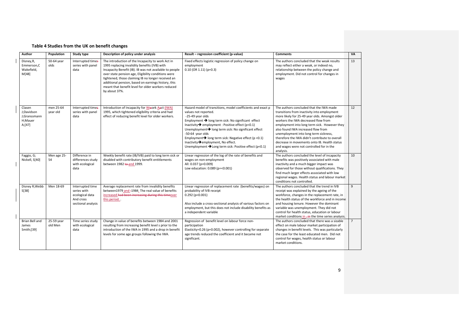## **Table 4 Studies from the UK on benefit changes**

| Author                                                     | Population            | Study type                                                                            | Description of policy under analysis                                                                                                                                                                                                                                                                                                                                                                     | Result - regression coefficient (p-value)                                                                                                                                                                                                                                                                                                                                                                                                                                                  | <b>Comments</b>                                                                                                                                                                                                                                                                                                                                                                                                                                                           | <b>VA</b>   |
|------------------------------------------------------------|-----------------------|---------------------------------------------------------------------------------------|----------------------------------------------------------------------------------------------------------------------------------------------------------------------------------------------------------------------------------------------------------------------------------------------------------------------------------------------------------------------------------------------------------|--------------------------------------------------------------------------------------------------------------------------------------------------------------------------------------------------------------------------------------------------------------------------------------------------------------------------------------------------------------------------------------------------------------------------------------------------------------------------------------------|---------------------------------------------------------------------------------------------------------------------------------------------------------------------------------------------------------------------------------------------------------------------------------------------------------------------------------------------------------------------------------------------------------------------------------------------------------------------------|-------------|
| Disney, R,<br>Emmerson.C<br>Wakefield,<br>M[48]            | 50-64 year<br>olds    | Interrupted times<br>series with panel<br>data                                        | The introduction of the Incapacity to work Act in<br>1995 replacing invalidity benefits (IVB) with<br>Incapacity Benefit (IB). IB was not available to people<br>over state pension age, Eligibility conditions were<br>tightened, those claiming IB no longer received an<br>additional pension, based on earnings history, this<br>meant that benefit level for older workers reduced<br>by about 37%. | Fixed effects logistic regression of policy change on<br>employment<br>$0.10$ (OR 1.11) (p=0.3)                                                                                                                                                                                                                                                                                                                                                                                            | The authors concluded that the weak results<br>may reflect either a weak, or indeed no,<br>relationship between the policy change and<br>employment. Did not control for changes in<br>wages                                                                                                                                                                                                                                                                              | 13          |
| Clasen<br>J:Davidson<br>J:Granssmann<br>H;Mauer<br>A; [47] | men 25-64<br>year old | Interrupted times<br>series with panel<br>data                                        | Introduction of Incapacity for Wwork Aact (IWA)<br>1995, which tightened eligibility criteria and had<br>effect of reducing benefit level for older workers.                                                                                                                                                                                                                                             | Hazard model of transitions, model coefficients and exact p<br>values not reported.<br>-25-49 year olds<br>Employment → long term sick: No significant effect<br>Inactivity $\rightarrow$ employment : Positive effect (p<0.1)<br>Unemployment→ long term sick: No significant effect<br>-50-64 year olds<br>Employment $\rightarrow$ long term sick: Negative effect (p < 0.1)<br>Inactivity→employment, No effect.<br>Unemployment $\rightarrow$ Long term sick: Positive effect (p<0.1) | The authors concluded that the IWA made<br>transitions from inactivity into employment<br>more likely for 25-49 year olds. Amongst older<br>workers the IWA decreased flow from<br>employment into long term sick. However they<br>also found IWA increased flow from<br>unemployment into long term sickness,<br>therefore the IWA didn't contribute to overall<br>decrease in movements onto IB. Health status<br>and wages were not controlled for in the<br>analysis. | 12          |
| Faggio, G;<br>Nickell, S[40]                               | Men age 25-<br>54     | Difference in<br>differences study<br>with ecological<br>data                         | Weekly benefit rate (IB/IVB) paid to long term sick or<br>disabled with contributory benefit entitlements<br>between 1982 <b>to-and 1999</b> .                                                                                                                                                                                                                                                           | Linear regression of the log of the rate of benefits and<br>wages on non-employment<br>All: 0.037 (p=0.009)<br>Low education: 0.089 (p=<0.001)                                                                                                                                                                                                                                                                                                                                             | The authors concluded the level of incapacity<br>benefits was positively associated with male<br>inactivity and a much bigger impact was<br>observed for those without qualifications. They<br>find much larger effects associated with low<br>regional wages. Health status and labour market<br>conditions not controlled.                                                                                                                                              | 10          |
| Disney R; Webb<br>S[38]                                    | Men 18-69             | Interrupted time<br>series with<br>ecological data<br>And cross<br>sectional analysis | Average replacement rate from invalidity benefits<br>between1979 and -1984. The real value of benefits<br>increased had been increasing during this timeover<br>this period.                                                                                                                                                                                                                             | Linear regression of replacement rate (benefits/wages) on<br>probability of IVB receipt<br>$0.292$ (p<0.001)<br>Also include a cross-sectional analysis of various factors on<br>employment, but this does not include disability benefits as<br>a independent variable                                                                                                                                                                                                                    | The authors concluded that the trend in IVB<br>receipt was explained by the ageing of the<br>workforce, changes in the replacement rate, in<br>the health status of the workforce and in income<br>and housing tenure. However the dominant<br>variable was unemployment. They did not<br>control for health status, education or labour<br>market conditions in $\frac{1}{2}$ the time series analysis.                                                                  | 9           |
| Brian Bell and<br>James<br>Smith;[39]                      | 25-59 year<br>old Men | Time series study<br>with ecological<br>data                                          | Change in value of benefits between 1984 and 2001<br>resulting from increasing benefit level s prior to the<br>introduction of the IWA in 1995 and a drop in benefit<br>levels for some age groups following the IWA.                                                                                                                                                                                    | Regression of benefit level on labour force non-<br>participation<br>Elasticity=0.26 (p=0.002), however controlling for separate<br>age trends reduced the coefficient and it became not<br>significant.                                                                                                                                                                                                                                                                                   | The authors concluded that there was a sizable<br>effect on male labour market participation of<br>changes in benefit levels. This was particularly<br>the case for the least educated men. Did not<br>control for wages, health status or labour<br>market conditions.                                                                                                                                                                                                   | $7^{\circ}$ |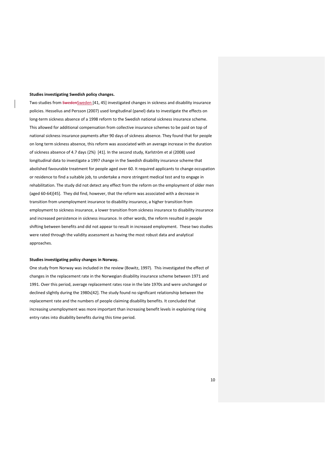#### **Studies investigating Swedish policy changes.**

Two studies from SwedenSweden [41, 45] investigated changes in sickness and disability insurance policies. Hesselius and Persson (2007) used longitudinal (panel) data to investigate the effects on long-term sickness absence of a 1998 reform to the Swedish national sickness insurance scheme. This allowed for additional compensation from collective insurance schemes to be paid on top of national sickness insurance payments after 90 days of sickness absence. They found that for people on long term sickness absence, this reform was associated with an average increase in the duration of sickness absence of 4.7 days (2%) [41]. In the second study, Karlström et al (2008) used longitudinal data to investigate a 1997 change in the Swedish disability insurance scheme that abolished favourable treatment for people aged over 60. It required applicants to change occupation or residence to find a suitable job, to undertake a more stringent medical test and to engage in rehabilitation. The study did not detect any effect from the reform on the employment of older men (aged 60-64)[45]. They did find, however, that the reform was associated with a decrease in transition from unemployment insurance to disability insurance, a higher transition from employment to sickness insurance, a lower transition from sickness insurance to disability insurance and increased persistence in sickness insurance. In other words, the reform resulted in people shifting between benefits and did not appear to result in increased employment. These two studies were rated through the validity assessment as having the most robust data and analytical approaches.

#### **Studies investigating policy changes in Norway.**

One study from Norway was included in the review (Bowitz, 1997). This investigated the effect of changes in the replacement rate in the Norwegian disability insurance scheme between 1971 and 1991. Over this period, average replacement rates rose in the late 1970s and were unchanged or declined slightly during the 1980s[42]. The study found no significant relationship between the replacement rate and the numbers of people claiming disability benefits. It concluded that increasing unemployment was more important than increasing benefit levels in explaining rising entry rates into disability benefits during this time period.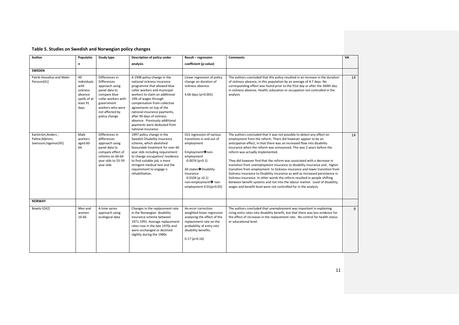| Author                                                        | Populatio                                                                             | <b>Study type</b>                                                                                                                                                                    | Description of policy under                                                                                                                                                                                                                                                                                                                                                                          | Result - regression                                                                                                                                                                                                                                              | <b>Comments</b>                                                                                                                                                                                                                                                                                                                                                                                                                                                                                                                                                                                                                                                                                                                                                                                                                                                                          | VA |
|---------------------------------------------------------------|---------------------------------------------------------------------------------------|--------------------------------------------------------------------------------------------------------------------------------------------------------------------------------------|------------------------------------------------------------------------------------------------------------------------------------------------------------------------------------------------------------------------------------------------------------------------------------------------------------------------------------------------------------------------------------------------------|------------------------------------------------------------------------------------------------------------------------------------------------------------------------------------------------------------------------------------------------------------------|------------------------------------------------------------------------------------------------------------------------------------------------------------------------------------------------------------------------------------------------------------------------------------------------------------------------------------------------------------------------------------------------------------------------------------------------------------------------------------------------------------------------------------------------------------------------------------------------------------------------------------------------------------------------------------------------------------------------------------------------------------------------------------------------------------------------------------------------------------------------------------------|----|
|                                                               | $\mathbf{r}$                                                                          |                                                                                                                                                                                      | analysis                                                                                                                                                                                                                                                                                                                                                                                             | coefficient (p-value)                                                                                                                                                                                                                                            |                                                                                                                                                                                                                                                                                                                                                                                                                                                                                                                                                                                                                                                                                                                                                                                                                                                                                          |    |
| <b>SWEDEN</b>                                                 |                                                                                       |                                                                                                                                                                                      |                                                                                                                                                                                                                                                                                                                                                                                                      |                                                                                                                                                                                                                                                                  |                                                                                                                                                                                                                                                                                                                                                                                                                                                                                                                                                                                                                                                                                                                                                                                                                                                                                          |    |
| Patrik Hesselius and Malin<br>Persson[41]                     | All<br>individuals<br>with<br>sickness<br>absence<br>spells of at<br>least 91<br>days | Differences in<br><b>Differences</b><br>approach using<br>panel data to<br>compare blue<br>collar workers with<br>government<br>workers who were<br>not affected by<br>policy change | A 1998 policy change in the<br>national sickness insurance<br>programme that allowed blue<br>collar workers and municipal<br>workers to claim an additional<br>10% of wages through<br>compensation from collective<br>agreements on top of the<br>national insurance payments,<br>after 90 days of sickness<br>absence. Previously additional<br>payments were deducted from<br>national insurance. | Linear regression of policy<br>change on duration of<br>sickness absence.<br>4.66 days (p=0.001)                                                                                                                                                                 | The authors concluded that this policy resulted in an increase in the duration<br>of sickness absence, in this population by an average of 4.7 days. No<br>corresponding effect was found prior to the 91st day or after the 360th day<br>in sickness absence. Health, education or occupation not controlled in the<br>analysis                                                                                                                                                                                                                                                                                                                                                                                                                                                                                                                                                         | 14 |
| Karlström, Anders;<br>Palme, Mårten;<br>Svensson, Ingemar[45] | Male<br>workers<br>aged 60-<br>64.                                                    | Differences in<br>differences<br>approach using<br>panel data to<br>compare effect of<br>reforms on 60-64<br>year olds to 55-59<br>year olds                                         | 1997 policy change in the<br>Swedish Disability Insurance<br>scheme, which abolished<br>favourable treatment for over 60<br>year olds including requirement<br>to change occupation/residence<br>to find suitable job, a more<br>stringent medical test and the<br>requirement to engage n<br>rehabilitation.                                                                                        | OLS regression of various<br>transitions in and out of<br>employment<br>Employment $\rightarrow$ non-<br>employment<br>$-0.0074$ (p $>0.1$ )<br>All states→Disability<br>Insurance<br>$-0.0104$ (p $>0.1$ )<br>non-employment→ non-<br>employment $0.01(p<0.05)$ | The authors concluded that it was not possible to detect any effect on<br>employment from the reform. There did however appear to be an<br>anticipation effect, in that there was an increased flow into disability<br>insurance when the reform was announced. This was 2 years before the<br>reform was actually implemented.<br>They did however find that the reform was associated with a decrease in<br>transition from unemployment insurance to disability insurance and, higher<br>transition from employment to Sickness insurance and lower transition from<br>Sickness insurance to Disability insurance as well as increased persistence in<br>Sickness insurance. In other words the reform resulted in people shifting<br>between benefit systems and not into the labour market. Level of disability,<br>wages and benefit level were not controlled for in the analysis | 14 |
| <b>NORWAY</b>                                                 |                                                                                       |                                                                                                                                                                                      |                                                                                                                                                                                                                                                                                                                                                                                                      |                                                                                                                                                                                                                                                                  |                                                                                                                                                                                                                                                                                                                                                                                                                                                                                                                                                                                                                                                                                                                                                                                                                                                                                          |    |
| Bowitz E[42]                                                  | Men and<br>women<br>16-66                                                             | A time series<br>approach using<br>ecological data                                                                                                                                   | Changes in the replacement rate<br>in the Norwegian disability<br>insurance scheme between<br>1971-1991. Average replacement<br>rates rose in the late 1970s and<br>were unchanged or declined<br>slightly during the 1980s                                                                                                                                                                          | An error correction<br>weighted linear regression<br>analysing the effect of the<br>replacement rate on the<br>probability of entry into<br>disability benefits.<br>$0.17(p=0.16)$                                                                               | The authors concluded that unemployment was important in explaining<br>rising entry rates into disability benefit, but that there was less evidence for<br>the effect of increases in the replacement rate. No control for health status<br>or educational level.                                                                                                                                                                                                                                                                                                                                                                                                                                                                                                                                                                                                                        | 9  |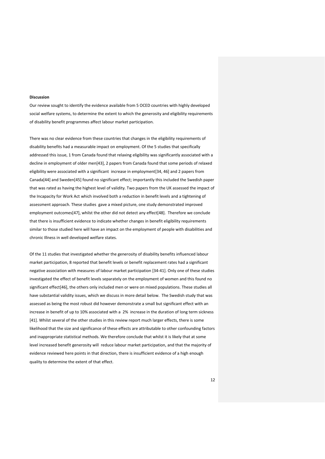#### **Discussion**

Our review sought to identify the evidence available from 5 OCED countries with highly developed social welfare systems, to determine the extent to which the generosity and eligibility requirements of disability benefit programmes affect labour market participation.

There was no clear evidence from these countries that changes in the eligibility requirements of disability benefits had a measurable impact on employment. Of the 5 studies that specifically addressed this issue, 1 from Canada found that relaxing eligibility was significantly associated with a decline in employment of older men[43], 2 papers from Canada found that some periods of relaxed eligibility were associated with a significant increase in employment[34, 46] and 2 papers from Canada[44] and Sweden[45] found no significant effect; importantly this included the Swedish paper that was rated as having the highest level of validity. Two papers from the UK assessed the impact of the Incapacity for Work Act which involved both a reduction in benefit levels and a tightening of assessment approach. These studies gave a mixed picture, one study demonstrated improved employment outcomes[47], whilst the other did not detect any effect[48]. Therefore we conclude that there is insufficient evidence to indicate whether changes in benefit eligibility requirements similar to those studied here will have an impact on the employment of people with disabilities and chronic Illness in well developed welfare states.

Of the 11 studies that investigated whether the generosity of disability benefits influenced labour market participation, 8 reported that benefit levels or benefit replacement rates had a significant negative association with measures of labour market participation [34-41]. Only one of these studies investigated the effect of benefit levels separately on the employment of women and this found no significant effect[46], the others only included men or were on mixed populations. These studies all have substantial validity issues, which we discuss in more detail below. The Swedish study that was assessed as being the most robust did however demonstrate a small but significant effect with an increase in benefit of up to 10% associated with a 2% increase in the duration of long term sickness [41]. Whilst several of the other studies in this review report much larger effects, there is some likelihood that the size and significance of these effects are attributable to other confounding factors and inappropriate statistical methods. We therefore conclude that whilst it is likely that at some level increased benefit generosity will reduce labour market participation, and that the majority of evidence reviewed here points in that direction, there is insufficient evidence of a high enough quality to determine the extent of that effect.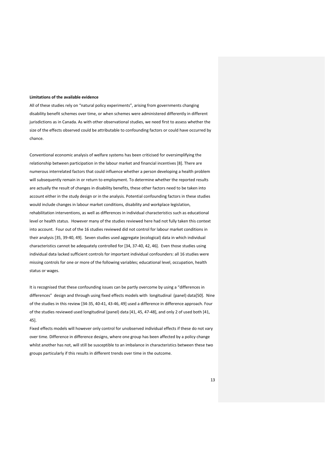#### **Limitations of the available evidence**

All of these studies rely on "natural policy experiments", arising from governments changing disability benefit schemes over time, or when schemes were administered differently in different jurisdictions as in Canada. As with other observational studies, we need first to assess whether the size of the effects observed could be attributable to confounding factors or could have occurred by chance.

Conventional economic analysis of welfare systems has been criticised for oversimplifying the relationship between participation in the labour market and financial incentives [8]. There are numerous interrelated factors that could influence whether a person developing a health problem will subsequently remain in or return to employment. To determine whether the reported results are actually the result of changes in disability benefits, these other factors need to be taken into account either in the study design or in the analysis. Potential confounding factors in these studies would include changes in labour market conditions, disability and workplace legislation, rehabilitation interventions, as well as differences in individual characteristics such as educational level or health status. However many of the studies reviewed here had not fully taken this context into account. Four out of the 16 studies reviewed did not control for labour market conditions in their analysis [35, 39-40, 49]. Seven studies used aggregate (ecological) data in which individual characteristics cannot be adequately controlled for [34, 37-40, 42, 46]. Even those studies using individual data lacked sufficient controls for important individual confounders: all 16 studies were missing controls for one or more of the following variables; educational level, occupation, health status or wages.

It is recognised that these confounding issues can be partly overcome by using a "differences in differences" design and through using fixed effects models with longitudinal (panel) data[50]. Nine of the studies in this review [34-35, 40-41, 43-46, 49] used a difference in difference approach. Four of the studies reviewed used longitudinal (panel) data [41, 45, 47-48], and only 2 of used both [41, 45].

Fixed effects models will however only control for unobserved individual effects if these do not vary over time. Difference in difference designs, where one group has been affected by a policy change whilst another has not, will still be susceptible to an imbalance in characteristics between these two groups particularly if this results in different trends over time in the outcome.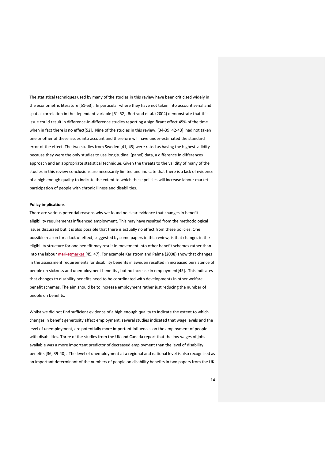The statistical techniques used by many of the studies in this review have been criticised widely in the econometric literature [51-53]. In particular where they have not taken into account serial and spatial correlation in the dependant variable [51-52]. Bertrand et al. (2004) demonstrate that this issue could result in difference-in-difference studies reporting a significant effect 45% of the time when in fact there is no effect[52]. Nine of the studies in this review, [34-39, 42-43] had not taken one or other of these issues into account and therefore will have under-estimated the standard error of the effect. The two studies from Sweden [41, 45] were rated as having the highest validity because they were the only studies to use longitudinal (panel) data, a difference in differences approach and an appropriate statistical technique. Given the threats to the validity of many of the studies in this review conclusions are necessarily limited and indicate that there is a lack of evidence of a high enough quality to indicate the extent to which these policies will increase labour market participation of people with chronic illness and disabilities.

#### **Policy implications**

There are various potential reasons why we found no clear evidence that changes in benefit eligibility requirements influenced employment. This may have resulted from the methodological issues discussed but it is also possible that there is actually no effect from these policies. One possible reason for a lack of effect, suggested by some papers in this review, is that changes in the eligibility structure for one benefit may result in movement into other benefit schemes rather than into the labour marketmarket [45, 47]. For example Karlstrom and Palme (2008) show that changes in the assessment requirements for disability benefits in Sweden resulted in increased persistence of people on sickness and unemployment benefits , but no increase in employment[45]. This indicates that changes to disability benefits need to be coordinated with developments in other welfare benefit schemes. The aim should be to increase employment rather just reducing the number of people on benefits.

Whilst we did not find sufficient evidence of a high enough quality to indicate the extent to which changes in benefit generosity affect employment, several studies indicated that wage levels and the level of unemployment, are potentially more important influences on the employment of people with disabilities. Three of the studies from the UK and Canada report that the low wages of jobs available was a more important predictor of decreased employment than the level of disability benefits [36, 39-40]. The level of unemployment at a regional and national level is also recognised as an important determinant of the numbers of people on disability benefits in two papers from the UK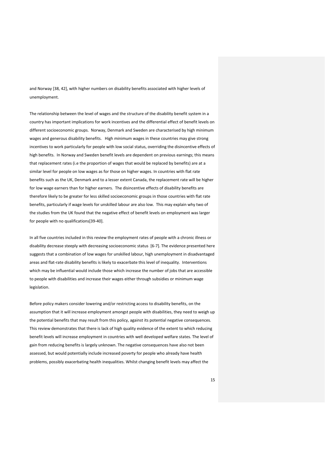and Norway [38, 42], with higher numbers on disability benefits associated with higher levels of unemployment.

The relationship between the level of wages and the structure of the disability benefit system in a country has important implications for work incentives and the differential effect of benefit levels on different socioeconomic groups. Norway, Denmark and Sweden are characterised by high minimum wages and generous disability benefits. High minimum wages in these countries may give strong incentives to work particularly for people with low social status, overriding the disincentive effects of high benefits. In Norway and Sweden benefit levels are dependent on previous earnings; this means that replacement rates (i.e the proportion of wages that would be replaced by benefits) are at a similar level for people on low wages as for those on higher wages. In countries with flat rate benefits such as the UK, Denmark and to a lesser extent Canada, the replacement rate will be higher for low wage earners than for higher earners. The disincentive effects of disability benefits are therefore likely to be greater for less skilled socioeconomic groups in those countries with flat rate benefits, particularly if wage levels for unskilled labour are also low. This may explain why two of the studies from the UK found that the negative effect of benefit levels on employment was larger for people with no qualifications[39-40].

In all five countries included in this review the employment rates of people with a chronic illness or disability decrease steeply with decreasing socioeconomic status [6-7]. The evidence presented here suggests that a combination of low wages for unskilled labour, high unemployment in disadvantaged areas and flat-rate disability benefits is likely to exacerbate this level of inequality. Interventions which may be influential would include those which increase the number of jobs that are accessible to people with disabilities and increase their wages either through subsidies or minimum wage legislation.

Before policy makers consider lowering and/or restricting access to disability benefits, on the assumption that it will increase employment amongst people with disabilities, they need to weigh up the potential benefits that may result from this policy, against its potential negative consequences. This review demonstrates that there is lack of high quality evidence of the extent to which reducing benefit levels will increase employment in countries with well developed welfare states. The level of gain from reducing benefits is largely unknown. The negative consequences have also not been assessed, but would potentially include increased poverty for people who already have health problems, possibly exacerbating health inequalities. Whilst changing benefit levels may affect the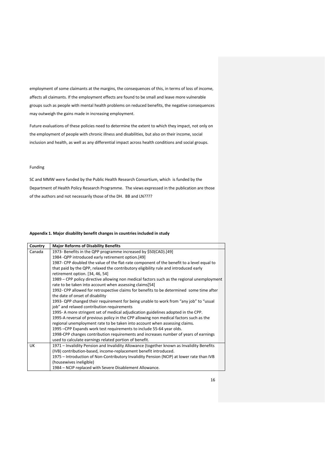employment of some claimants at the margins, the consequences of this, in terms of loss of income, affects all claimants. If the employment effects are found to be small and leave more vulnerable groups such as people with mental health problems on reduced benefits, the negative consequences may outweigh the gains made in increasing employment.

Future evaluations of these policies need to determine the extent to which they impact, not only on the employment of people with chronic illness and disabilities, but also on their income, social inclusion and health, as well as any differential impact across health conditions and social groups.

## Funding

SC and MMW were funded by the Public Health Research Consortium, which is funded by the Department of Health Policy Research Programme. The views expressed in the publication are those of the authors and not necessarily those of the DH. BB and LN????

## **Appendix 1. Major disability benefit changes in countries included in study**

| Country   | <b>Major Reforms of Disability Benefits</b>                                                                                                           |
|-----------|-------------------------------------------------------------------------------------------------------------------------------------------------------|
| Canada    | 1973- Benefits in the QPP programme increased by \$50(CAD).[49]                                                                                       |
|           | 1984 - QPP introduced early retirement option. [49]                                                                                                   |
|           | 1987- CPP doubled the value of the flat-rate component of the benefit to a level equal to                                                             |
|           | that paid by the QPP, relaxed the contributory eligibility rule and introduced early                                                                  |
|           | retirement option. [34, 46, 54]                                                                                                                       |
|           | 1989 – CPP policy directive allowing non medical factors such as the regional unemployment<br>rate to be taken into account when assessing claims[54] |
|           | 1992- CPP allowed for retrospective claims for benefits to be determined some time after                                                              |
|           | the date of onset of disability                                                                                                                       |
|           | 1993- QPP changed their requirement for being unable to work from "any job" to "usual                                                                 |
|           | job" and relaxed contribution requirements                                                                                                            |
|           | 1995- A more stringent set of medical adjudication guidelines adopted in the CPP.                                                                     |
|           | 1995-A reversal of previous policy in the CPP allowing non medical factors such as the                                                                |
|           | regional unemployment rate to be taken into account when assessing claims.                                                                            |
|           | 1995 - CPP Expands work test requirements to include 55-64 year olds.                                                                                 |
|           | 1998-CPP changes contribution requirements and increases number of years of earnings                                                                  |
|           | used to calculate earnings related portion of benefit.                                                                                                |
| <b>UK</b> | 1971 - Invalidity Pension and Invalidity Allowance (together known as Invalidity Benefits                                                             |
|           | (IVB) contribution-based, income-replacement benefit introduced.                                                                                      |
|           | 1975 – Introduction of Non-Contributory Invalidity Pension (NCIP) at lower rate than IVB                                                              |
|           | (housewives ineligible)                                                                                                                               |
|           | 1984 - NCIP replaced with Severe Disablement Allowance.                                                                                               |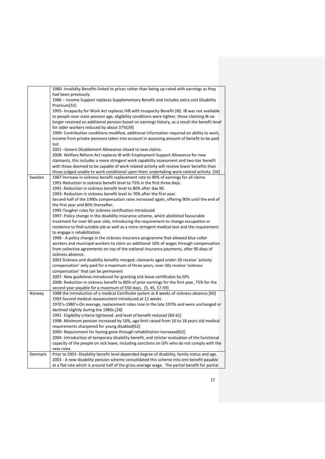|         | 1980- Invalidity Benefits linked to prices rather than being up-rated with earnings as they<br>had been previously.                                                                                                                                                                                                                          |
|---------|----------------------------------------------------------------------------------------------------------------------------------------------------------------------------------------------------------------------------------------------------------------------------------------------------------------------------------------------|
|         | 1986 – Income Support replaces Supplementary Benefit and includes extra cost Disability<br>Premium[55]                                                                                                                                                                                                                                       |
|         | 1995- Incapacity for Work Act replaces IVB with Incapacity Benefit (IB). IB was not available<br>to people over state pension age, eligibility conditions were tighter, those claiming IB no<br>longer received an additional pension based on earnings history, as a result the benefit level<br>for older workers reduced by about 37%[39] |
|         | 1999- Contribution conditions modified, additional information required on ability to work,<br>income from private pensions taken into account in assessing amount of benefit to be paid<br>out.                                                                                                                                             |
|         | 2001 -Severe Disablement Allowance closed to new claims.                                                                                                                                                                                                                                                                                     |
|         | 2008- Welfare Reform Act replaces IB with Employment Support Allowance for new                                                                                                                                                                                                                                                               |
|         | claimants, this includes a more stringent work capability assessment and two-tier benefit                                                                                                                                                                                                                                                    |
|         | with those deemed to be capable of work related activity will receive lower benefits than                                                                                                                                                                                                                                                    |
|         | those judged unable to work conditional upon them undertaking work-related activity. [56]                                                                                                                                                                                                                                                    |
| Sweden  | 1987-Increase in sickness benefit replacement rate to 90% of earnings for all claims                                                                                                                                                                                                                                                         |
|         | 1991-Reduction in sickness benefit level to 75% in the first three days.                                                                                                                                                                                                                                                                     |
|         | 1992 - Reduction in sickness benefit level to 80% after day 90.                                                                                                                                                                                                                                                                              |
|         | 1993- Reduction in sickness benefit level to 70% after the first year.<br>Second half of the 1990s compensation rates increased again, offering 90% until the end of                                                                                                                                                                         |
|         | the first year and 80% thereafter.                                                                                                                                                                                                                                                                                                           |
|         | 1995-Tougher rules for sickness certification introduced                                                                                                                                                                                                                                                                                     |
|         | 1997- Policy change in the disability insurance scheme, which abolished favourable                                                                                                                                                                                                                                                           |
|         | treatment for over 60 year olds, introducing the requirement to change occupation or                                                                                                                                                                                                                                                         |
|         | residence to find suitable job as well as a more stringent medical test and the requirement                                                                                                                                                                                                                                                  |
|         | to engage n rehabilitation.                                                                                                                                                                                                                                                                                                                  |
|         | 1998 - A policy change in the sickness insurance programme that allowed blue collar                                                                                                                                                                                                                                                          |
|         | workers and municipal workers to claim an additional 10% of wages through compensation<br>from collective agreements on top of the national insurance payments, after 90 days of<br>sickness absence.                                                                                                                                        |
|         | 2003 Sickness and disability benefits merged: claimants aged under-30 receive 'activity                                                                                                                                                                                                                                                      |
|         | compensation' only paid for a maximum of three years, over-30s receive 'sickness                                                                                                                                                                                                                                                             |
|         | compensation' that can be permanent                                                                                                                                                                                                                                                                                                          |
|         | 2007- New guidelines introduced for granting sick leave certificates by GPs                                                                                                                                                                                                                                                                  |
|         | 2008- Reduction in sickness benefit to 80% of prior earnings for the first year, 75% for the                                                                                                                                                                                                                                                 |
|         | second year payable for a maximum of 550 days. [5, 45, 57-59]                                                                                                                                                                                                                                                                                |
| Norway  | 1988 the introduction of a medical Certificate system at 8 weeks of sickness absence.[60]<br>1993 Second medical reassessment introduced at 12 weeks                                                                                                                                                                                         |
|         | 1970's-1980's-On average, replacement rates rose in the late 1970s and were unchanged or                                                                                                                                                                                                                                                     |
|         | declined slightly during the 1980s.[28]                                                                                                                                                                                                                                                                                                      |
|         | 1991- Eligibility criteria tightened and level of benefit reduced [60-61]                                                                                                                                                                                                                                                                    |
|         | 1998- Minimum pension increased by 10%, age limit raised from 16 to 18 years old medical                                                                                                                                                                                                                                                     |
|         | requirements sharpened for young disabled[62]                                                                                                                                                                                                                                                                                                |
|         | 2000- Requirement for having gone through rehabilitation increased[62]                                                                                                                                                                                                                                                                       |
|         | 2004- Introduction of temporary disability benefit, and stricter evaluation of the functional                                                                                                                                                                                                                                                |
|         | capacity of the people on sick leave, including sanctions on GPs who do not comply with the                                                                                                                                                                                                                                                  |
| Denmark | new rules.                                                                                                                                                                                                                                                                                                                                   |
|         | Prior to 2003- Disability benefit level depended degree of disability, family status and age.<br>2003 - A new disability pension scheme consolidated this scheme into one benefit payable                                                                                                                                                    |
|         | at a flat rate which is around half of the gross average wage. The partial benefit for partial                                                                                                                                                                                                                                               |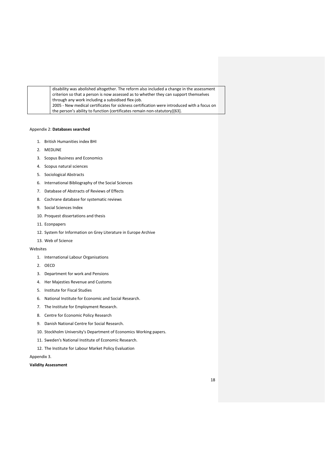| disability was abolished altogether. The reform also included a change in the assessment   |
|--------------------------------------------------------------------------------------------|
| criterion so that a person is now assessed as to whether they can support themselves       |
| through any work including a subsidised flex-job.                                          |
| 2005 - New medical certificates for sickness certification were introduced with a focus on |
| the person's ability to function (certificates remain non-statutory)[63].                  |

## Appendix 2: **Databases searched**

- 1. British Humanities index BHI
- 2. MEDLINE
- 3. Scopus Business and Economics
- 4. Scopus natural sciences
- 5. Sociological Abstracts
- 6. International Bibliography of the Social Sciences
- 7. Database of Abstracts of Reviews of Effects
- 8. Cochrane database for systematic reviews
- 9. Social Sciences Index
- 10. Proquest dissertations and thesis
- 11. Econpapers
- 12. System for Information on Grey Literature in Europe Archive
- 13. Web of Science

## Websites

- 1. International Labour Organisations
- 2. OECD
- 3. Department for work and Pensions
- 4. Her Majesties Revenue and Customs
- 5. Institute for Fiscal Studies
- 6. National Institute for Economic and Social Research.
- 7. The Institute for Employment Research.
- 8. Centre for Economic Policy Research
- 9. Danish National Centre for Social Research.
- 10. Stockholm University's Department of Economics Working papers.
- 11. Sweden's National Institute of Economic Research.
- 12. The Institute for Labour Market Policy Evaluation

Appendix 3.

## **Validity Assessment**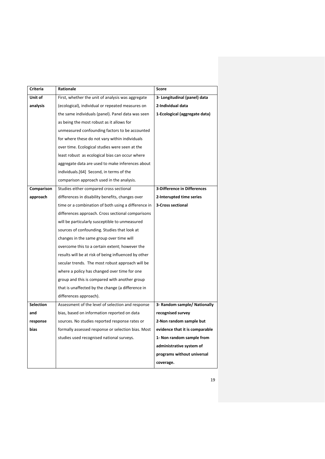| Criteria         | Rationale                                            | Score                              |
|------------------|------------------------------------------------------|------------------------------------|
| Unit of          | First, whether the unit of analysis was aggregate    | 3- Longitudinal (panel) data       |
| analysis         | (ecological), individual or repeated measures on     | 2-Individual data                  |
|                  | the same individuals (panel). Panel data was seen    | 1-Ecological (aggregate data)      |
|                  | as being the most robust as it allows for            |                                    |
|                  | unmeasured confounding factors to be accounted       |                                    |
|                  | for where these do not vary within individuals       |                                    |
|                  | over time. Ecological studies were seen at the       |                                    |
|                  | least robust as ecological bias can occur where      |                                    |
|                  | aggregate data are used to make inferences about     |                                    |
|                  | individuals. [64] Second, in terms of the            |                                    |
|                  | comparison approach used in the analysis.            |                                    |
| Comparison       | Studies either compared cross sectional              | <b>3-Difference in Differences</b> |
| approach         | differences in disability benefits, changes over     | 2-Interupted time series           |
|                  | time or a combination of both using a difference in  | <b>3-Cross sectional</b>           |
|                  | differences approach. Cross sectional comparisons    |                                    |
|                  | will be particularly susceptible to unmeasured       |                                    |
|                  | sources of confounding. Studies that look at         |                                    |
|                  | changes in the same group over time will             |                                    |
|                  | overcome this to a certain extent; however the       |                                    |
|                  | results will be at risk of being influenced by other |                                    |
|                  | secular trends. The most robust approach will be     |                                    |
|                  | where a policy has changed over time for one         |                                    |
|                  | group and this is compared with another group        |                                    |
|                  | that is unaffected by the change (a difference in    |                                    |
|                  | differences approach).                               |                                    |
| <b>Selection</b> | Assessment of the level of selection and response    | 3- Random sample/ Nationally       |
| and              | bias, based on information reported on data          | recognised survey                  |
| response         | sources. No studies reported response rates or       | 2-Non random sample but            |
| bias             | formally assessed response or selection bias. Most   | evidence that it is comparable     |
|                  | studies used recognised national surveys.            | 1- Non random sample from          |
|                  |                                                      | administrative system of           |
|                  |                                                      | programs without universal         |
|                  |                                                      | coverage.                          |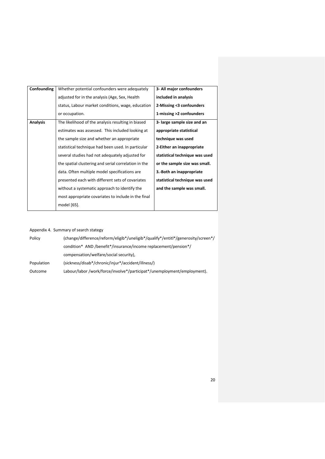| Confounding     | Whether potential confounders were adequately        | 3- All major confounders       |
|-----------------|------------------------------------------------------|--------------------------------|
|                 | adjusted for in the analysis (Age, Sex, Health       | included in analysis           |
|                 | status, Labour market conditions, wage, education    | 2-Missing <3 confounders       |
|                 | or occupation.                                       | 1-missing >2 confounders       |
| <b>Analysis</b> | The likelihood of the analysis resulting in biased   | 3- large sample size and an    |
|                 | estimates was assessed. This included looking at     | appropriate statistical        |
|                 | the sample size and whether an appropriate           | technique was used             |
|                 | statistical technique had been used. In particular   | 2-Either an inappropriate      |
|                 | several studies had not adequately adjusted for      | statistical technique was used |
|                 | the spatial clustering and serial correlation in the | or the sample size was small.  |
|                 | data. Often multiple model specifications are        | 3.-Both an inappropriate       |
|                 | presented each with different sets of covariates     | statistical technique was used |
|                 | without a systematic approach to identify the        | and the sample was small.      |
|                 | most appropriate covariates to include in the final  |                                |
|                 | model [65].                                          |                                |

## Appendix 4. Summary of search stategy

| Policy     | (change/difference/reform/eligib*/uneligib*/qualify*/entitl*/generosity/screen*/ |
|------------|----------------------------------------------------------------------------------|
|            | condition* AND /benefit*/insurance/income replacement/pension*/                  |
|            | compensation/welfare/social security),                                           |
| Population | (sickness/disab*/chronic/injur*/accident/illness/)                               |
| Outcome    | Labour/labor/work/force/involve*/participat*/unemployment/employment).           |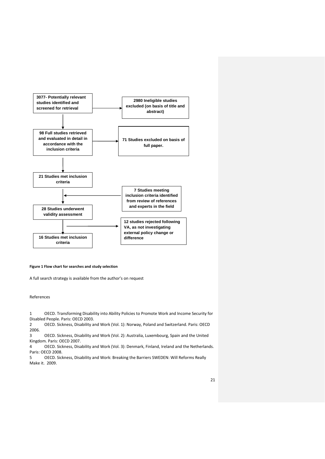

## **Figure 1 Flow chart for searches and study selection**

A full search strategy is available from the author's on request

References

1 OECD. Transforming Disability into Ability Policies to Promote Work and Income Security for Disabled People. Paris: OECD 2003.

2 OECD. Sickness, Disability and Work (Vol. 1): Norway, Poland and Switzerland. Paris: OECD 2006.

3 OECD. Sickness, Disability and Work (Vol. 2): Australia, Luxembourg, Spain and the United Kingdom. Paris: OECD 2007.

4 OECD. Sickness, Disability and Work (Vol. 3): Denmark, Finland, Ireland and the Netherlands. Paris: OECD 2008.

5 OECD. Sickness, Disability and Work: Breaking the Barriers SWEDEN: Will Reforms Really Make it. 2009.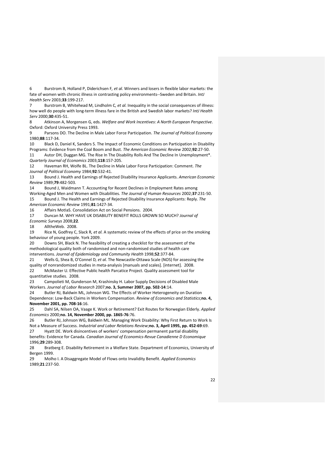6 Burstrom B, Holland P, Diderichsen F*, et al.* Winners and losers in flexible labor markets: the fate of women with chronic illness in contrasting policy environments--Sweden and Britain. *IntJ Health Serv* 2003;**33**:199-217.

Burstrom B, Whitehead M, Lindholm C, et al. Inequality in the social consequences of illness: how well do people with long-term illness fare in the British and Swedish labor markets? *IntJ Health Serv* 2000;**30**:435-51.

8 Atkinson A, Morgensen G, eds. *Welfare and Work Incentives: A North European Perspective*. Oxford: Oxford University Press 1993.

9 Parsons DO. The Decline in Male Labor Force Participation. *The Journal of Political Economy* 1980;**88**:117-34.

10 Black D, Daniel K, Sanders S. The Impact of Economic Conditions on Participation in Disability Programs: Evidence from the Coal Boom and Bust. *The American Economic Review* 2002;**92**:27-50.

11 Autor DH, Duggan MG. The Rise In The Disability Rolls And The Decline In Unemployment\*. *Quarterly Journal of Economics* 2003;**118**:157-205.

12 Haveman RH, Wolfe BL. The Decline in Male Labor Force Participation: Comment. *The Journal of Political Economy* 1984;**92**:532-41.

13 Bound J. Health and Earnings of Rejected Disability Insurance Applicants. *American Economic Review* 1989;**79**:482-503.

14 Bound J, Waidmann T. Accounting for Recent Declines in Employment Rates among Working-Aged Men and Women with Disabilities. *The Journal of Human Resources* 2002;**37**:231-50. 15 Bound J. The Health and Earnings of Rejected Disability Insurance Applicants: Reply. *The American Economic Review* 1991;**81**:1427-34.

16 Affairs MotIaS. Consolidation Act on Social Pensions. 2004.

17 Duncan M. WHY HAVE UK DISABILITY BENEFIT ROLLS GROWN SO MUCH? *Journal of Economic Surveys* 2008;**22**.

18 AlltheWeb. 2008.

19 Rice N, Godfrey C, Slack R*, et al.* A systematic review of the effects of price on the smoking behaviour of young people. York 2009.

20 Downs SH, Black N. The feasibility of creating a checklist for the assessment of the methodological quality both of randomised and non-randomised studies of health care interventions. *Journal of Epidemiology and Community Health* 1998;**52**:377-84.

21 Wells G, Shea B, O'Connel D*, et al.* The Newcastle-Ottawa Scale (NOS) for assessing the quality of nonrandomized studies in meta-analysis [manuals and scales]. [internet]. 2008. 22 McMaster U. Effective Public health Parcatice Project. Quality assessment tool for

quantitative studies. 2008.

23 Campolieti M, Gunderson M, Krashinsky H. Labor Supply Decisions of Disabled Male Workers. *Journal of Labor Research* 2007;**no. 3, Summer 2007, pp. 502-14**:14.

24 Butler RJ, Baldwin ML, Johnson WG. The Effects of Worker Heterogeneity on Duration Dependence: Low-Back Claims in Workers Compensation. *Review of Economics and Statistics*;**no. 4, November 2001, pp. 708-16**:16.

25 Dahl SA, Nilsen OA, Vaage K. Work or Retirement? Exit Routes for Norwegian Elderly. *Applied Economics* 2000;**no. 14, November 2000, pp. 1865-76**:76.

26 Butler RJ, Johnson WG, Baldwin ML. Managing Work Disability: Why First Return to Work Is Not a Measure of Success. *Industrial and Labor Relations Review*;**no. 3, April 1995, pp. 452-69**:69. 27 Hyatt DE. Work disincentives of workers' compensation permanent partial disability

benefits: Evidence for Canada. *Canadian Journal of Economics-Revue Canadienne D Economique* 1996;**29**:289-308.

28 Bratberg E. Disability Retirement in a Welfare State. Department of Economics, University of Bergen 1999.

29 Molho I. A Disaggregate Model of Flows onto Invalidity Benefit. *Applied Economics* 1989;**21**:237-50.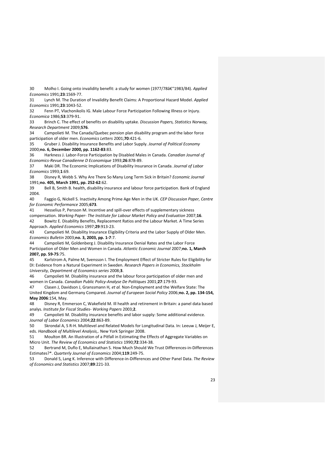30 Molho I. Going onto invalidity benefit: a study for women (1977/78â€"1983/84). *Applied Economics* 1991;**23**:1569-77.

31 Lynch M. The Duration of Invalidity Benefit Claims: A Proportional Hazard Model. *Applied Economics* 1991;**23**:1043-52.

32 Fenn PT, Vlachonikolis IG. Male Labour Force Participation Following Illness or Injury. *Economica* 1986;**53**:379-91.

33 Brinch C. The effect of benefits on disability uptake. *Discussion Papers, Statistics Norway, Research Department* 2009;**576**.

34 Campolieti M. The Canada/Quebec pension plan disability program and the labor force participation of older men. *Economics Letters* 2001;**70**:421-6.

35 Gruber J. Disability Insurance Benefits and Labor Supply. *Journal of Political Economy* 2000;**no. 6, December 2000, pp. 1162-83**:83.

36 Harkness J. Labor-Force Participation by Disabled Males in Canada. *Canadian Journal of Economics-Revue Canadienne D Economique* 1993;**26**:878-89.

37 Maki DR. The Economic Implications of Disability Insurance in Canada. *Journal of Labor Economics* 1993;**1**:69.

38 Disney R, Webb S. Why Are There So Many Long Term Sick in Britain? *Economic Journal* 1991;**no. 405, March 1991, pp. 252-62**:62.

39 Bell B, Smith B. health, disability insurance and labour force participation. Bank of England 2004.

40 Faggio G, Nickell S. Inactivity Among Prime Age Men in the UK. *CEP Discussion Paper, Centre for Economic Performance* 2005;**673**.

41 Hesselius P, Persson M. Incentive and spill-over effects of supplementary sickness compensation. *Working Paper- The Institute for Labour Market Policy and Evaluation* 2007;**16**.

42 Bowitz E. Disability Benefits, Replacement Ratios and the Labour Market. A Time Series Approach. *Applied Economics* 1997;**29**:913-23.

43 Campolieti M. Disability Insurance Eligibility Criteria and the Labor Supply of Older Men. *Economics Bulletin* 2003;**no. 3, 2003, pp. 1-7**:7.

44 Campolieti M, Goldenberg J. Disability Insurance Denial Rates and the Labor Force Participation of Older Men and Women in Canada. *Atlantic Economic Journal* 2007;**no. 1, March 2007, pp. 59-75**:75.

45 Karlstrom A, Palme M, Svensson I. The Employment Effect of Stricter Rules for Eligibility for DI: Evidence from a Natural Experiment in Sweden. *Research Papers in Economics, Stockholm University, Department of Economics series* 2008;**3**.

46 Campolieti M. Disability insurance and the labour force participation of older men and women in Canada. *Canadian Public Policy-Analyse De Politiques* 2001;**27**:179-93.

47 Clasen J, Davidson J, Granssmann H*, et al.* Non-Employment and the Welfare State: The United Kingdom and Germany Compared. *Journal of European Social Policy* 2006;**no. 2, pp. 134-154, May 2006**:154, May.

48 Disney R, Emmerson C, Wakefield M. Ill health and retirement in Britain: a panel data based analys. *Institute for Fiscal Studies- Working Papers* 2003;**2**.

49 Campolieti M. Disability insurance benefits and labor supply: Some additional evidence. *Journal of Labor Economics* 2004;**22**:863-89.

50 Skrondal A, S R-H. Multilevel and Related Models for Longitudinal Data. In: Leeuw J, Meijer E, eds. *Handbook of Multilevel Analysis,*. New York Springer 2008.

51 Moulton BR. An Illustration of a Pitfall in Estimating the Effects of Aggregate Variables on Micro Unit. *The Review of Economics and Statistics* 1990;**72**:334-38.

52 Bertrand M, Duflo E, Mullainathan S. How Much Should We Trust Differences-in-Differences Estimates?\*. *Quarterly Journal of Economics* 2004;**119**:249-75.

53 Donald S, Lang K. Inference with Difference-in-Differences and Other Panel Data. *The Review of Economics and Statistics* 2007;**89**:221-33.